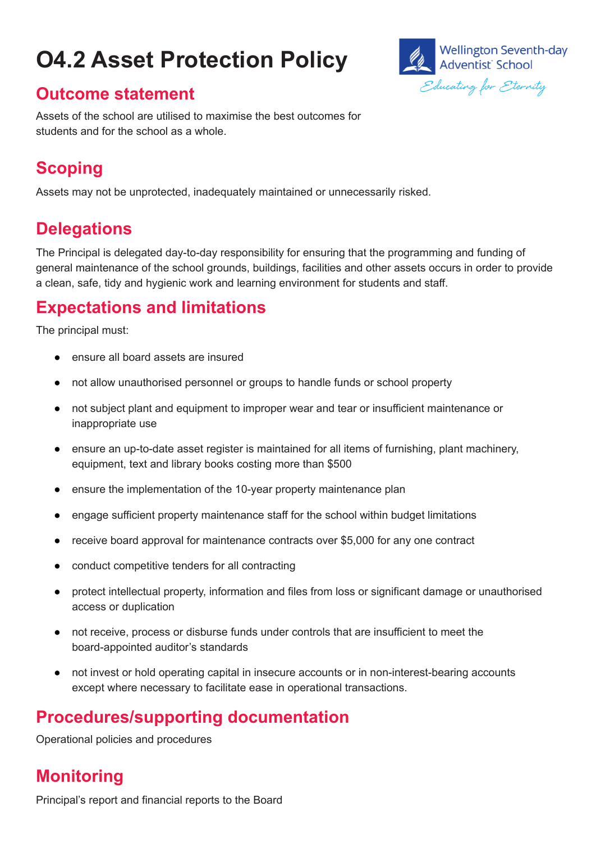# **O4.2 Asset Protection Policy**



#### **Outcome statement**

Assets of the school are utilised to maximise the best outcomes for students and for the school as a whole.

## **Scoping**

Assets may not be unprotected, inadequately maintained or unnecessarily risked.

## **Delegations**

The Principal is delegated day-to-day responsibility for ensuring that the programming and funding of general maintenance of the school grounds, buildings, facilities and other assets occurs in order to provide a clean, safe, tidy and hygienic work and learning environment for students and staff.

#### **Expectations and limitations**

The principal must:

- ensure all board assets are insured
- not allow unauthorised personnel or groups to handle funds or school property
- not subject plant and equipment to improper wear and tear or insufficient maintenance or inappropriate use
- ensure an up-to-date asset register is maintained for all items of furnishing, plant machinery, equipment, text and library books costing more than \$500
- ensure the implementation of the 10-year property maintenance plan
- engage sufficient property maintenance staff for the school within budget limitations
- receive board approval for maintenance contracts over \$5,000 for any one contract
- conduct competitive tenders for all contracting
- protect intellectual property, information and files from loss or significant damage or unauthorised access or duplication
- not receive, process or disburse funds under controls that are insufficient to meet the board-appointed auditor's standards
- not invest or hold operating capital in insecure accounts or in non-interest-bearing accounts except where necessary to facilitate ease in operational transactions.

### **Procedures/supporting documentation**

Operational policies and procedures

### **Monitoring**

Principal's report and financial reports to the Board